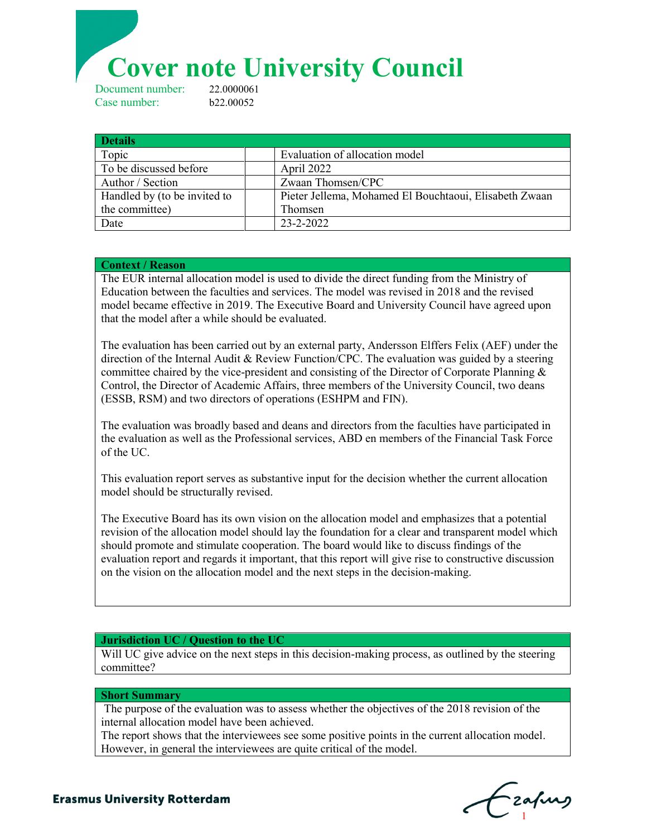**Cover note University Council**<br>Deument number: 22.0000061

Document number: Case number: b22.00052

| <b>Details</b>               |                                                        |
|------------------------------|--------------------------------------------------------|
| Topic                        | Evaluation of allocation model                         |
| To be discussed before       | April 2022                                             |
| Author / Section             | Zwaan Thomsen/CPC                                      |
| Handled by (to be invited to | Pieter Jellema, Mohamed El Bouchtaoui, Elisabeth Zwaan |
| the committee)               | Thomsen                                                |
| Date                         | 23-2-2022                                              |

### **Context / Reason**

The EUR internal allocation model is used to divide the direct funding from the Ministry of Education between the faculties and services. The model was revised in 2018 and the revised model became effective in 2019. The Executive Board and University Council have agreed upon that the model after a while should be evaluated.

The evaluation has been carried out by an external party, Andersson Elffers Felix (AEF) under the direction of the Internal Audit & Review Function/CPC. The evaluation was guided by a steering committee chaired by the vice-president and consisting of the Director of Corporate Planning  $\&$ Control, the Director of Academic Affairs, three members of the University Council, two deans (ESSB, RSM) and two directors of operations (ESHPM and FIN).

The evaluation was broadly based and deans and directors from the faculties have participated in the evaluation as well as the Professional services, ABD en members of the Financial Task Force of the UC.

This evaluation report serves as substantive input for the decision whether the current allocation model should be structurally revised.

The Executive Board has its own vision on the allocation model and emphasizes that a potential revision of the allocation model should lay the foundation for a clear and transparent model which should promote and stimulate cooperation. The board would like to discuss findings of the evaluation report and regards it important, that this report will give rise to constructive discussion on the vision on the allocation model and the next steps in the decision-making.

## **Jurisdiction UC / Question to the UC**

Will UC give advice on the next steps in this decision-making process, as outlined by the steering committee?

#### **Short Summary**

 The purpose of the evaluation was to assess whether the objectives of the 2018 revision of the internal allocation model have been achieved.

The report shows that the interviewees see some positive points in the current allocation model. However, in general the interviewees are quite critical of the model.

**Needle Needle C**  $\mathbf{C}_1$ 

# **Erasmus University Rotterdam**